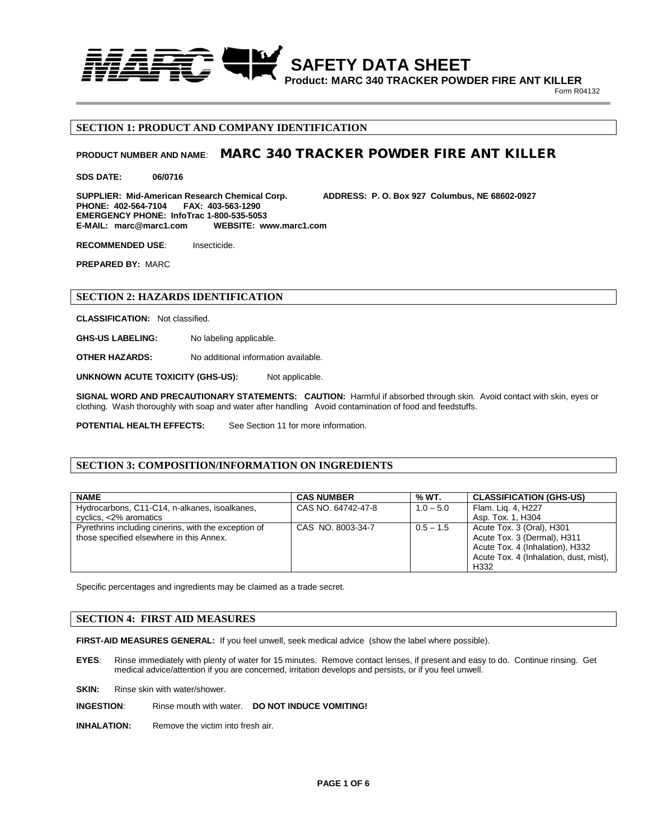

**Product: MARC 340 TRACKER POWDER FIRE ANT KILLER** Form R04132

# **SECTION 1: PRODUCT AND COMPANY IDENTIFICATION**

# **PRODUCT NUMBER AND NAME**: MARC 340 TRACKER POWDER FIRE ANT KILLER

**SDS DATE: 06/0716**

**SUPPLIER: Mid-American Research Chemical Corp. ADDRESS: P. O. Box 927 Columbus, NE 68602-0927 PHONE: 402-564-7104 EMERGENCY PHONE: InfoTrac 1-800-535-5053**  WEBSITE: www.marc1.com

**RECOMMENDED USE:** Insecticide.

**PREPARED BY:** MARC

## **SECTION 2: HAZARDS IDENTIFICATION**

**CLASSIFICATION:** Not classified.

**GHS-US LABELING:** No labeling applicable.

**OTHER HAZARDS:** No additional information available.

**UNKNOWN ACUTE TOXICITY (GHS-US):** Not applicable.

**SIGNAL WORD AND PRECAUTIONARY STATEMENTS: CAUTION:** Harmful if absorbed through skin. Avoid contact with skin, eyes or clothing. Wash thoroughly with soap and water after handling Avoid contamination of food and feedstuffs.

**POTENTIAL HEALTH EFFECTS:** See Section 11 for more information.

## **SECTION 3: COMPOSITION/INFORMATION ON INGREDIENTS**

| <b>NAME</b>                                          | <b>CAS NUMBER</b>  | % WT.       | <b>CLASSIFICATION (GHS-US)</b>         |
|------------------------------------------------------|--------------------|-------------|----------------------------------------|
| Hydrocarbons, C11-C14, n-alkanes, isoalkanes,        | CAS NO. 64742-47-8 | $1.0 - 5.0$ | Flam. Lig. 4, H227                     |
| cyclics, <2% aromatics                               |                    |             | Asp. Tox. 1. H304                      |
| Pyrethrins including cinerins, with the exception of | CAS NO. 8003-34-7  | $0.5 - 1.5$ | Acute Tox. 3 (Oral), H301              |
| those specified elsewhere in this Annex.             |                    |             | Acute Tox. 3 (Dermal), H311            |
|                                                      |                    |             | Acute Tox. 4 (Inhalation), H332        |
|                                                      |                    |             | Acute Tox. 4 (Inhalation, dust, mist), |
|                                                      |                    |             | H332                                   |

Specific percentages and ingredients may be claimed as a trade secret.

# **SECTION 4: FIRST AID MEASURES**

**FIRST-AID MEASURES GENERAL:** If you feel unwell, seek medical advice (show the label where possible).

**EYES**: Rinse immediately with plenty of water for 15 minutes. Remove contact lenses, if present and easy to do. Continue rinsing. Get medical advice/attention if you are concerned, irritation develops and persists, or if you feel unwell.

SKIN: **Rinse skin with water/shower.** 

**INGESTION**: Rinse mouth with water. **DO NOT INDUCE VOMITING!**

**INHALATION:** Remove the victim into fresh air.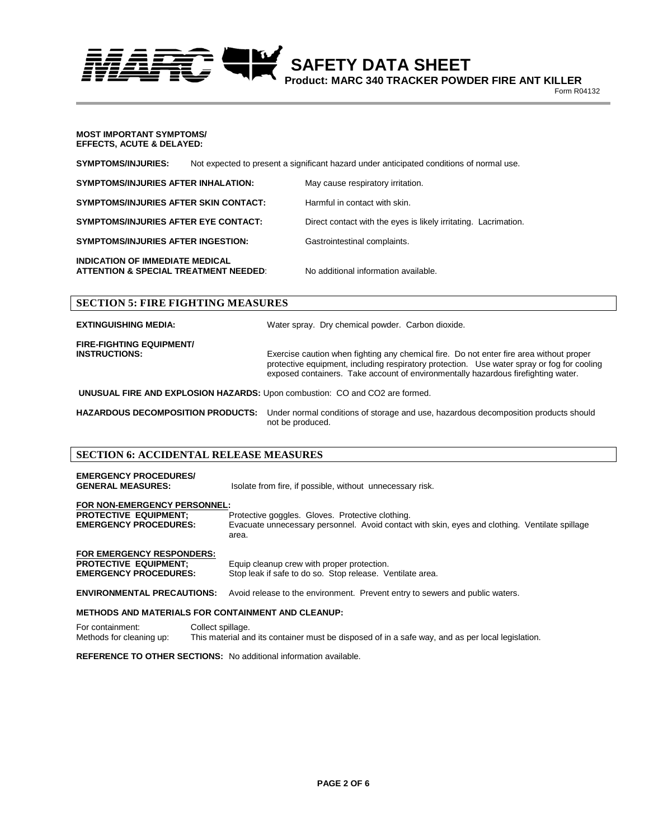**SAFETY DATA SHEET** 

**Product: MARC 340 TRACKER POWDER FIRE ANT KILLER** Form R04132

#### **MOST IMPORTANT SYMPTOMS/ EFFECTS, ACUTE & DELAYED:**

**SYMPTOMS/INJURIES:** Not expected to present a significant hazard under anticipated conditions of normal use.

| <b>SYMPTOMS/INJURIES AFTER INHALATION:</b>   | May cause respiratory irritation.                               |
|----------------------------------------------|-----------------------------------------------------------------|
| <b>SYMPTOMS/INJURIES AFTER SKIN CONTACT:</b> | Harmful in contact with skin.                                   |
| <b>SYMPTOMS/INJURIES AFTER EYE CONTACT:</b>  | Direct contact with the eyes is likely irritating. Lacrimation. |
| <b>SYMPTOMS/INJURIES AFTER INGESTION:</b>    | Gastrointestinal complaints.                                    |
| <b>INDICATION OF IMMEDIATE MEDICAL</b>       |                                                                 |

**ATTENTION & SPECIAL TREATMENT NEEDED**: No additional information available.

# **SECTION 5: FIRE FIGHTING MEASURES**

**EXTINGUISHING MEDIA:** 

Water spray. Dry chemical powder. Carbon dioxide.

**FIRE-FIGHTING EQUIPMENT/**

**INSTRUCTIONS:** Exercise caution when fighting any chemical fire. Do not enter fire area without proper protective equipment, including respiratory protection. Use water spray or fog for cooling exposed containers. Take account of environmentally hazardous firefighting water.

**UNUSUAL FIRE AND EXPLOSION HAZARDS:** Upon combustion: CO and CO2 are formed.

**HAZARDOUS DECOMPOSITION PRODUCTS:** Under normal conditions of storage and use, hazardous decomposition products should not be produced.

# **SECTION 6: ACCIDENTAL RELEASE MEASURES**

| <b>EMERGENCY PROCEDURES/</b><br><b>GENERAL MEASURES:</b>                                         | Isolate from fire, if possible, without unnecessary risk.                                                                                                   |
|--------------------------------------------------------------------------------------------------|-------------------------------------------------------------------------------------------------------------------------------------------------------------|
| FOR NON-EMERGENCY PERSONNEL:<br><b>PROTECTIVE EQUIPMENT:</b><br><b>EMERGENCY PROCEDURES:</b>     | Protective goggles. Gloves. Protective clothing.<br>Evacuate unnecessary personnel. Avoid contact with skin, eyes and clothing. Ventilate spillage<br>area. |
| <b>FOR EMERGENCY RESPONDERS:</b><br><b>PROTECTIVE EQUIPMENT:</b><br><b>EMERGENCY PROCEDURES:</b> | Equip cleanup crew with proper protection.<br>Stop leak if safe to do so. Stop release. Ventilate area.                                                     |

**ENVIRONMENTAL PRECAUTIONS:** Avoid release to the environment. Prevent entry to sewers and public waters.

### **METHODS AND MATERIALS FOR CONTAINMENT AND CLEANUP:**

For containment: Collect spillage.<br>
Methods for cleaning up: This material an This material and its container must be disposed of in a safe way, and as per local legislation.

**REFERENCE TO OTHER SECTIONS:** No additional information available.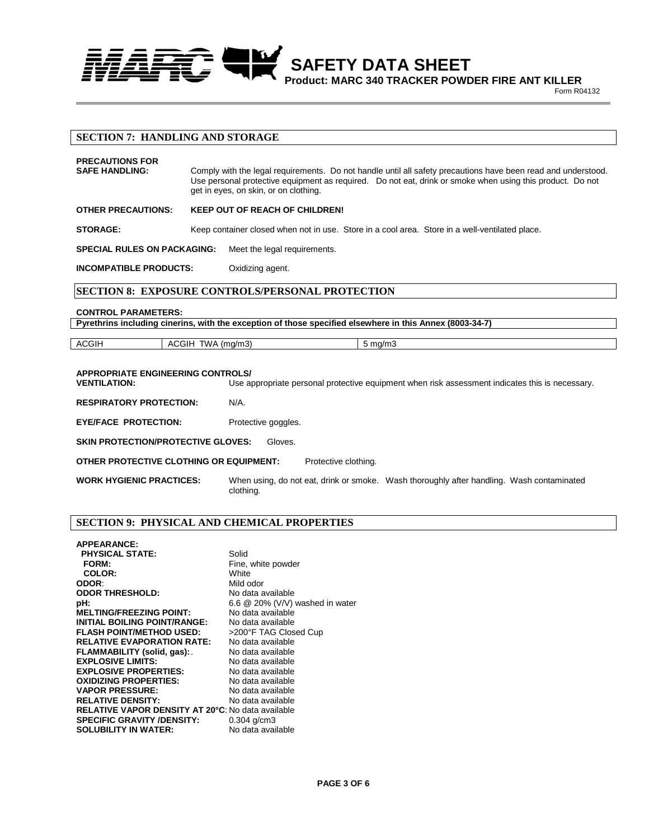

**Product: MARC 340 TRACKER POWDER FIRE ANT KILLER** Form R04132

# **SECTION 7: HANDLING AND STORAGE**

| <b>PRECAUTIONS FOR</b><br><b>SAFE HANDLING:</b> | Comply with the legal requirements. Do not handle until all safety precautions have been read and understood.<br>Use personal protective equipment as required. Do not eat, drink or smoke when using this product. Do not<br>get in eyes, on skin, or on clothing. |
|-------------------------------------------------|---------------------------------------------------------------------------------------------------------------------------------------------------------------------------------------------------------------------------------------------------------------------|
| <b>OTHER PRECAUTIONS:</b>                       | <b>KEEP OUT OF REACH OF CHILDREN!</b>                                                                                                                                                                                                                               |
| <b>STORAGE:</b>                                 | Keep container closed when not in use. Store in a cool area. Store in a well-ventilated place.                                                                                                                                                                      |
| <b>SPECIAL RULES ON PACKAGING:</b>              | Meet the legal requirements.                                                                                                                                                                                                                                        |
| <b>INCOMPATIBLE PRODUCTS:</b>                   | Oxidizing agent.                                                                                                                                                                                                                                                    |

# **SECTION 8: EXPOSURE CONTROLS/PERSONAL PROTECTION**

#### **CONTROL PARAMETERS:**

**Pyrethrins including cinerins, with the exception of those specified elsewhere in this Annex (8003-34-7)**

ACGIH | ACGIH TWA (mg/m3) | 5 mg/m3

# **APPROPRIATE ENGINEERING CONTROLS/**

Use appropriate personal protective equipment when risk assessment indicates this is necessary.

**RESPIRATORY PROTECTION:** N/A.

**EYE/FACE PROTECTION:** Protective goggles.

**SKIN PROTECTION/PROTECTIVE GLOVES:** Gloves.

**OTHER PROTECTIVE CLOTHING OR EQUIPMENT:** Protective clothing.

**WORK HYGIENIC PRACTICES:** When using, do not eat, drink or smoke. Wash thoroughly after handling. Wash contaminated clothing.

## **SECTION 9: PHYSICAL AND CHEMICAL PROPERTIES**

| <b>APPEARANCE:</b>                                       |                                   |
|----------------------------------------------------------|-----------------------------------|
| <b>PHYSICAL STATE:</b>                                   | Solid                             |
| <b>FORM:</b>                                             | Fine, white powder                |
| COLOR:                                                   | White                             |
| ODOR:                                                    | Mild odor                         |
| <b>ODOR THRESHOLD:</b>                                   | No data available                 |
| pH:                                                      | 6.6 $@$ 20% (V/V) washed in water |
| <b>MELTING/FREEZING POINT:</b>                           | No data available                 |
| <b>INITIAL BOILING POINT/RANGE:</b>                      | No data available                 |
| <b>FLASH POINT/METHOD USED:</b>                          | >200°F TAG Closed Cup             |
| <b>RELATIVE EVAPORATION RATE:</b>                        | No data available                 |
| FLAMMABILITY (solid, gas):                               | No data available                 |
| <b>EXPLOSIVE LIMITS:</b>                                 | No data available                 |
| <b>EXPLOSIVE PROPERTIES:</b>                             | No data available                 |
| <b>OXIDIZING PROPERTIES:</b>                             | No data available                 |
| <b>VAPOR PRESSURE:</b>                                   | No data available                 |
| <b>RELATIVE DENSITY:</b>                                 | No data available                 |
| <b>RELATIVE VAPOR DENSITY AT 20°C: No data available</b> |                                   |
| <b>SPECIFIC GRAVITY /DENSITY:</b>                        | $0.304$ g/cm $3$                  |
| <b>SOLUBILITY IN WATER:</b>                              | No data available                 |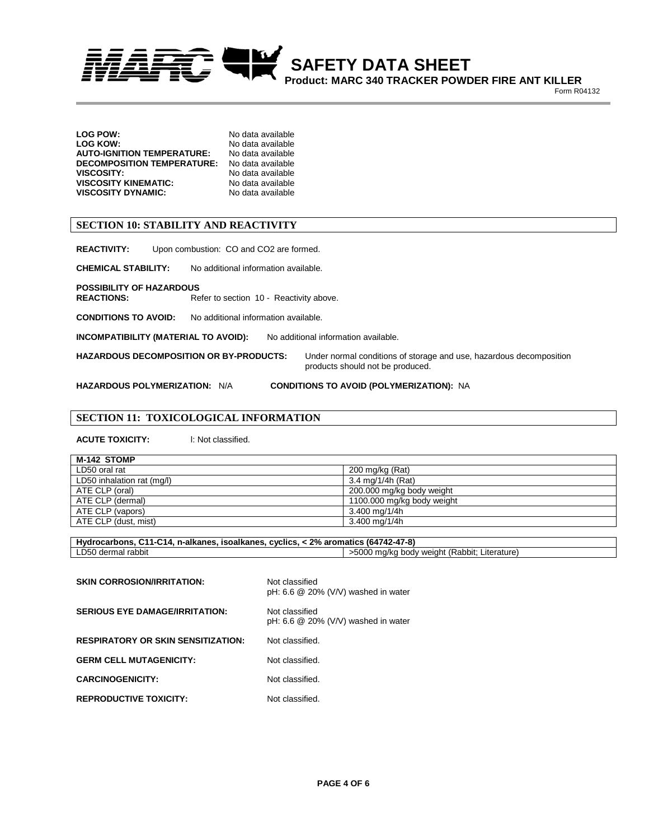*SAFETY DATA SHEET* 

**Product: MARC 340 TRACKER POWDER FIRE ANT KILLER** Form R04132

| No data available |
|-------------------|
| No data available |
| No data available |
| No data available |
| No data available |
| No data available |
| No data available |
|                   |

# **SECTION 10: STABILITY AND REACTIVITY**

| <b>REACTIVITY:</b>                                   | Upon combustion: CO and CO2 are formed.        |                                                                                                         |
|------------------------------------------------------|------------------------------------------------|---------------------------------------------------------------------------------------------------------|
| <b>CHEMICAL STABILITY:</b>                           | No additional information available.           |                                                                                                         |
| <b>POSSIBILITY OF HAZARDOUS</b><br><b>REACTIONS:</b> | Refer to section 10 - Reactivity above.        |                                                                                                         |
| <b>CONDITIONS TO AVOID:</b>                          | No additional information available.           |                                                                                                         |
| INCOMPATIBILITY (MATERIAL TO AVOID):                 |                                                | No additional information available.                                                                    |
|                                                      | <b>HAZARDOUS DECOMPOSITION OR BY-PRODUCTS:</b> | Under normal conditions of storage and use, hazardous decomposition<br>products should not be produced. |
| <b>HAZARDOUS POLYMERIZATION: N/A</b>                 |                                                | <b>CONDITIONS TO AVOID (POLYMERIZATION): NA</b>                                                         |

# **SECTION 11: TOXICOLOGICAL INFORMATION**

**ACUTE TOXICITY:** l: Not classified.

| M-142 STOMP                |                            |
|----------------------------|----------------------------|
| LD50 oral rat              | 200 mg/kg (Rat)            |
| LD50 inhalation rat (mg/l) | 3.4 mg/1/4h (Rat)          |
| ATE CLP (oral)             | 200.000 mg/kg body weight  |
| ATE CLP (dermal)           | 1100.000 mg/kg body weight |
| ATE CLP (vapors)           | 3.400 mg/1/4h              |
| ATE CLP (dust. mist)       | 3.400 mg/1/4h              |

| Hydrocarbons, C11-C14, n-alkanes, isoalkanes, cyclics, < 2% aromatics (64742-47-8) |                                              |
|------------------------------------------------------------------------------------|----------------------------------------------|
| LD50 dermal rabbit                                                                 | >5000 mg/kg body weight (Rabbit; Literature) |

| <b>SKIN CORROSION/IRRITATION:</b>         | Not classified<br>pH: 6.6 $@$ 20% (V/V) washed in water |
|-------------------------------------------|---------------------------------------------------------|
| <b>SERIOUS EYE DAMAGE/IRRITATION:</b>     | Not classified<br>pH: 6.6 $@$ 20% (V/V) washed in water |
| <b>RESPIRATORY OR SKIN SENSITIZATION:</b> | Not classified.                                         |
| <b>GERM CELL MUTAGENICITY:</b>            | Not classified.                                         |
| <b>CARCINOGENICITY:</b>                   | Not classified.                                         |
| <b>REPRODUCTIVE TOXICITY:</b>             | Not classified.                                         |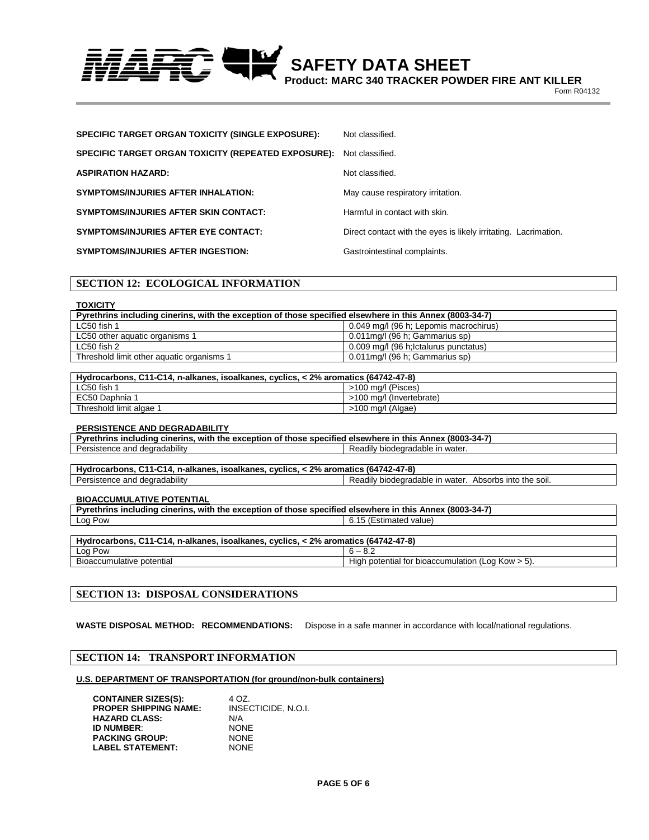*SAFETY DATA SHEET* 

**Product: MARC 340 TRACKER POWDER FIRE ANT KILLER** Form R04132

| SPECIFIC TARGET ORGAN TOXICITY (SINGLE EXPOSURE):   | Not classified.                                                 |
|-----------------------------------------------------|-----------------------------------------------------------------|
| SPECIFIC TARGET ORGAN TOXICITY (REPEATED EXPOSURE): | Not classified.                                                 |
| <b>ASPIRATION HAZARD:</b>                           | Not classified.                                                 |
| SYMPTOMS/INJURIES AFTER INHALATION:                 | May cause respiratory irritation.                               |
| <b>SYMPTOMS/INJURIES AFTER SKIN CONTACT:</b>        | Harmful in contact with skin.                                   |
| <b>SYMPTOMS/INJURIES AFTER EYE CONTACT:</b>         | Direct contact with the eyes is likely irritating. Lacrimation. |
| SYMPTOMS/INJURIES AFTER INGESTION:                  | Gastrointestinal complaints.                                    |

## **SECTION 12: ECOLOGICAL INFORMATION**

#### **TOXICITY**

| Pyrethrins including cinerins, with the exception of those specified elsewhere in this Annex (8003-34-7)<br>0.049 mg/l (96 h; Lepomis macrochirus)<br>LC50 fish 1 |
|-------------------------------------------------------------------------------------------------------------------------------------------------------------------|
|                                                                                                                                                                   |
|                                                                                                                                                                   |
| LC50 other aquatic organisms 1<br>$0.011$ mg/l (96 h; Gammarius sp)                                                                                               |
| 0.009 mg/l (96 h; lctalurus punctatus)<br>LC50 fish 2                                                                                                             |
| Threshold limit other aquatic organisms 1<br>0.011mg/l (96 h; Gammarius sp)                                                                                       |

| Hydrocarbons, C11-C14, n-alkanes, isoalkanes, cyclics, < 2% aromatics (64742-47-8) |                          |
|------------------------------------------------------------------------------------|--------------------------|
| LC50 fish 1                                                                        | >100 mg/l (Pisces)       |
| EC50 Daphnia 1                                                                     | >100 mg/l (Invertebrate) |
| Threshold limit algae                                                              | >100 mg/l (Algae)        |

#### **PERSISTENCE AND DEGRADABILITY**

| Pyrethrins including cinerins, with the exception of those specified elsewhere in this Annex (8003-34-7) |                                 |
|----------------------------------------------------------------------------------------------------------|---------------------------------|
| Persistence and degradability                                                                            | Readily biodegradable in water. |

| Hydrocarbons, C11-C14, n-alkanes, isoalkanes, cyclics, < 2% aromatics (64742-47-8) |                                                        |
|------------------------------------------------------------------------------------|--------------------------------------------------------|
| Persistence and degradability                                                      | Readily biodegradable in water. Absorbs into the soil. |

#### **BIOACCUMULATIVE POTENTIAL**

| <br>(8003-34-7<br>this<br>cinerins<br>with<br>Annex<br>Pyrathring<br>. exception<br>$^{\circ}$ those specified $\overline{\phantom{a}}$<br>' elsewhere<br>. IN<br>the<br>ıno<br>sludina<br>Οt<br>nrıns |                                              |
|--------------------------------------------------------------------------------------------------------------------------------------------------------------------------------------------------------|----------------------------------------------|
| Pow<br>∟oa '                                                                                                                                                                                           | ated value.<br>mated<br>1 E.S.II<br>$\cdots$ |

| . n-alkanes. isoalkanes. <sub>'</sub><br>: 2% aromatics (64742-47-8)<br>$C11-C14$ .<br>cvclics.<br>Hvdrocarbons. |                                                              |
|------------------------------------------------------------------------------------------------------------------|--------------------------------------------------------------|
| Log Pow                                                                                                          | $\epsilon$<br>◡.                                             |
| - '<br>accumulative potential<br>вюа                                                                             | * bioaccumulation (Log Kow > 5).<br>i potential for<br>Hiar. |

## **SECTION 13: DISPOSAL CONSIDERATIONS**

**WASTE DISPOSAL METHOD: RECOMMENDATIONS:** Dispose in a safe manner in accordance with local/national regulations.

### **SECTION 14: TRANSPORT INFORMATION**

#### **U.S. DEPARTMENT OF TRANSPORTATION (for ground/non-bulk containers)**

| <b>CONTAINER SIZES(S):</b>   | 4 OZ.               |
|------------------------------|---------------------|
| <b>PROPER SHIPPING NAME:</b> | INSECTICIDE, N.O.I. |
| <b>HAZARD CLASS:</b>         | N/A                 |
| <b>ID NUMBER:</b>            | <b>NONE</b>         |
| <b>PACKING GROUP:</b>        | <b>NONE</b>         |
| <b>LABEL STATEMENT:</b>      | <b>NONF</b>         |